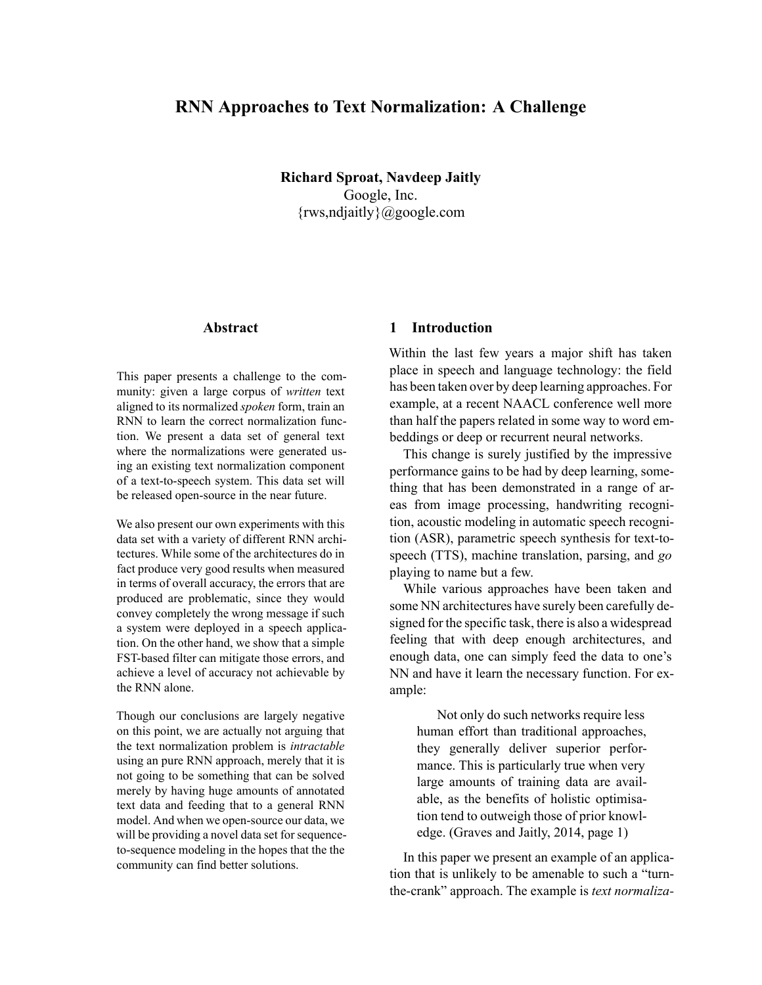# **RNN Approaches to Text Normalization: A Challenge**

**Richard Sproat, Navdeep Jaitly** Google, Inc. {rws,ndjaitly}@google.com

## **Abstract**

This paper presents a challenge to the community: given a large corpus of *written* text aligned to its normalized *spoken* form, train an RNN to learn the correct normalization function. We present a data set of general text where the normalizations were generated using an existing text normalization component of a text-to-speech system. This data set will be released open-source in the near future.

We also present our own experiments with this data set with a variety of different RNN architectures. While some of the architectures do in fact produce very good results when measured in terms of overall accuracy, the errors that are produced are problematic, since they would convey completely the wrong message if such a system were deployed in a speech application. On the other hand, we show that a simple FST-based filter can mitigate those errors, and achieve a level of accuracy not achievable by the RNN alone.

Though our conclusions are largely negative on this point, we are actually not arguing that the text normalization problem is *intractable* using an pure RNN approach, merely that it is not going to be something that can be solved merely by having huge amounts of annotated text data and feeding that to a general RNN model. And when we open-source our data, we will be providing a novel data set for sequenceto-sequence modeling in the hopes that the the community can find better solutions.

## **1 Introduction**

Within the last few years a major shift has taken place in speech and language technology: the field has been taken over by deep learning approaches. For example, at a recent NAACL conference well more than half the papers related in some way to word embeddings or deep or recurrent neural networks.

This change is surely justified by the impressive performance gains to be had by deep learning, something that has been demonstrated in a range of areas from image processing, handwriting recognition, acoustic modeling in automatic speech recognition (ASR), parametric speech synthesis for text-tospeech (TTS), machine translation, parsing, and *go* playing to name but a few.

While various approaches have been taken and some NN architectures have surely been carefully designed for the specific task, there is also a widespread feeling that with deep enough architectures, and enough data, one can simply feed the data to one's NN and have it learn the necessary function. For example:

Not only do such networks require less human effort than traditional approaches, they generally deliver superior performance. This is particularly true when very large amounts of training data are available, as the benefits of holistic optimisation tend to outweigh those of prior knowledge. (Graves and Jaitly, 2014, page 1)

In this paper we present an example of an application that is unlikely to be amenable to such a "turnthe-crank" approach. The example is *text normaliza-*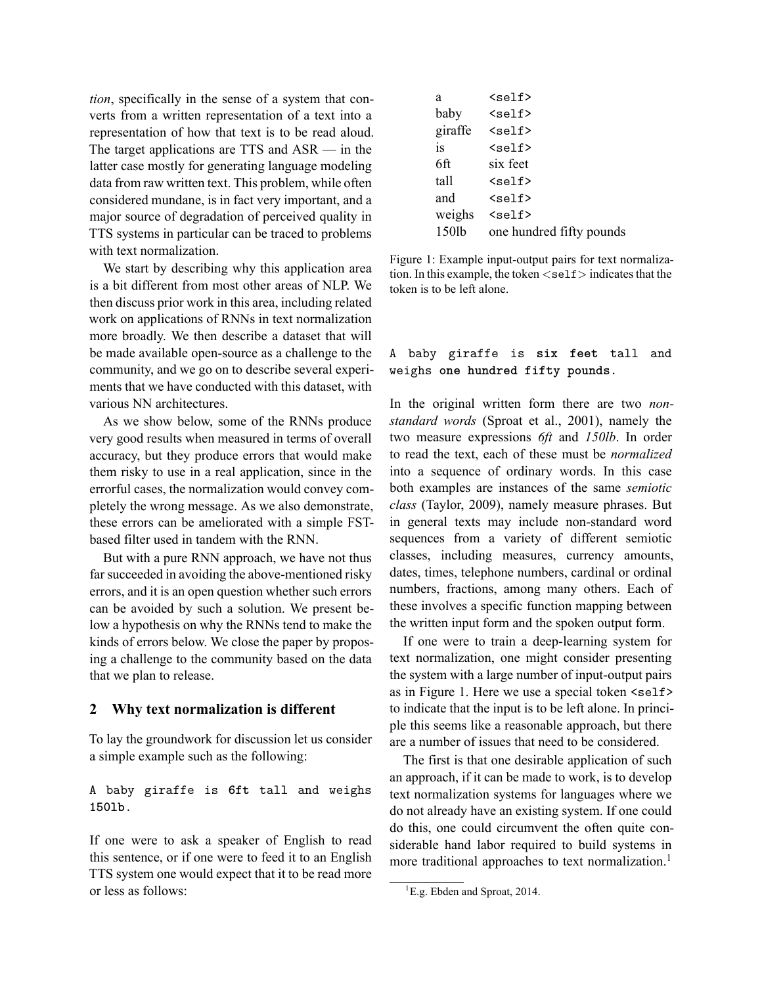*tion*, specifically in the sense of a system that converts from a written representation of a text into a representation of how that text is to be read aloud. The target applications are TTS and ASR — in the latter case mostly for generating language modeling data from raw written text. This problem, while often considered mundane, is in fact very important, and a major source of degradation of perceived quality in TTS systems in particular can be traced to problems with text normalization.

We start by describing why this application area is a bit different from most other areas of NLP. We then discuss prior work in this area, including related work on applications of RNNs in text normalization more broadly. We then describe a dataset that will be made available open-source as a challenge to the community, and we go on to describe several experiments that we have conducted with this dataset, with various NN architectures.

As we show below, some of the RNNs produce very good results when measured in terms of overall accuracy, but they produce errors that would make them risky to use in a real application, since in the errorful cases, the normalization would convey completely the wrong message. As we also demonstrate, these errors can be ameliorated with a simple FSTbased filter used in tandem with the RNN.

But with a pure RNN approach, we have not thus far succeeded in avoiding the above-mentioned risky errors, and it is an open question whether such errors can be avoided by such a solution. We present below a hypothesis on why the RNNs tend to make the kinds of errors below. We close the paper by proposing a challenge to the community based on the data that we plan to release.

### **2 Why text normalization is different**

To lay the groundwork for discussion let us consider a simple example such as the following:

A baby giraffe is 6ft tall and weighs 1501b.

If one were to ask a speaker of English to read this sentence, or if one were to feed it to an English TTS system one would expect that it to be read more or less as follows:

| a       | $5 self>$                |
|---------|--------------------------|
| baby    | $5 self>$                |
| giraffe | $self$                   |
| is      | $self$                   |
| 6ft     | six feet                 |
| tall    | $5 self>$                |
| and     | $5 self>$                |
| weighs  | $self$                   |
| 150lb   | one hundred fifty pounds |
|         |                          |

Figure 1: Example input-output pairs for text normalization. In this example, the token  $\lt$ self  $>$  indicates that the token is to be left alone.

## A baby giraffe is six feet tall and weighs one hundred fifty pounds.

In the original written form there are two *nonstandard words* (Sproat et al., 2001), namely the two measure expressions *6ft* and *150lb*. In order to read the text, each of these must be *normalized* into a sequence of ordinary words. In this case both examples are instances of the same *semiotic class* (Taylor, 2009), namely measure phrases. But in general texts may include non-standard word sequences from a variety of different semiotic classes, including measures, currency amounts, dates, times, telephone numbers, cardinal or ordinal numbers, fractions, among many others. Each of these involves a specific function mapping between the written input form and the spoken output form.

If one were to train a deep-learning system for text normalization, one might consider presenting the system with a large number of input-output pairs as in Figure 1. Here we use a special token <self> to indicate that the input is to be left alone. In principle this seems like a reasonable approach, but there are a number of issues that need to be considered.

The first is that one desirable application of such an approach, if it can be made to work, is to develop text normalization systems for languages where we do not already have an existing system. If one could do this, one could circumvent the often quite considerable hand labor required to build systems in more traditional approaches to text normalization.<sup>1</sup>

<sup>&</sup>lt;sup>1</sup>E.g. Ebden and Sproat, 2014.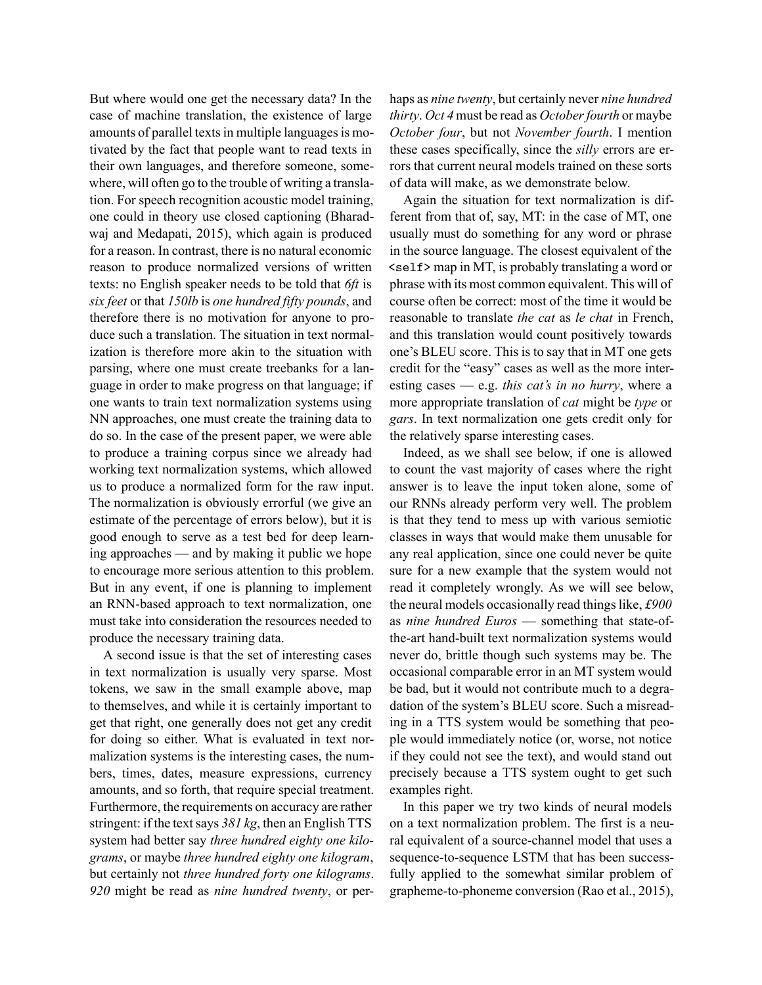But where would one get the necessary data? In the case of machine translation, the existence of large amounts of parallel texts in multiple languages is motivated by the fact that people want to read texts in their own languages, and therefore someone, somewhere, will often go to the trouble of writing a translation. For speech recognition acoustic model training, one could in theory use closed captioning (Bharadwaj and Medapati, 2015), which again is produced for a reason. In contrast, there is no natural economic reason to produce normalized versions of written texts: no English speaker needs to be told that *6ft* is *six feet* or that *150lb* is *one hundred fifty pounds*, and therefore there is no motivation for anyone to produce such a translation. The situation in text normalization is therefore more akin to the situation with parsing, where one must create treebanks for a language in order to make progress on that language; if one wants to train text normalization systems using NN approaches, one must create the training data to do so. In the case of the present paper, we were able to produce a training corpus since we already had working text normalization systems, which allowed us to produce a normalized form for the raw input. The normalization is obviously errorful (we give an estimate of the percentage of errors below), but it is good enough to serve as a test bed for deep learning approaches — and by making it public we hope to encourage more serious attention to this problem. But in any event, if one is planning to implement an RNN-based approach to text normalization, one must take into consideration the resources needed to produce the necessary training data.

A second issue is that the set of interesting cases in text normalization is usually very sparse. Most tokens, we saw in the small example above, map to themselves, and while it is certainly important to get that right, one generally does not get any credit for doing so either. What is evaluated in text normalization systems is the interesting cases, the numbers, times, dates, measure expressions, currency amounts, and so forth, that require special treatment. Furthermore, the requirements on accuracy are rather stringent: if the text says *381 kg*, then an English TTS system had better say *three hundred eighty one kilograms*, or maybe *three hundred eighty one kilogram*, but certainly not *three hundred forty one kilograms*. *920* might be read as *nine hundred twenty*, or perhaps as *nine twenty*, but certainly never *nine hundred thirty*. *Oct 4* must be read as *October fourth* or maybe *October four*, but not *November fourth*. I mention these cases specifically, since the *silly* errors are errors that current neural models trained on these sorts of data will make, as we demonstrate below.

Again the situation for text normalization is different from that of, say, MT: in the case of MT, one usually must do something for any word or phrase in the source language. The closest equivalent of the  $\leq$  self> map in MT, is probably translating a word or phrase with its most common equivalent. This will of course often be correct: most of the time it would be reasonable to translate *the cat* as *le chat* in French, and this translation would count positively towards one's BLEU score. This is to say that in MT one gets credit for the "easy" cases as well as the more interesting cases — e.g. *this cat's in no hurry*, where a more appropriate translation of *cat* might be *type* or *gars*. In text normalization one gets credit only for the relatively sparse interesting cases.

Indeed, as we shall see below, if one is allowed to count the vast majority of cases where the right answer is to leave the input token alone, some of our RNNs already perform very well. The problem is that they tend to mess up with various semiotic classes in ways that would make them unusable for any real application, since one could never be quite sure for a new example that the system would not read it completely wrongly. As we will see below, the neural models occasionally read things like, *£900* as *nine hundred Euros* — something that state-ofthe-art hand-built text normalization systems would never do, brittle though such systems may be. The occasional comparable error in an MT system would be bad, but it would not contribute much to a degradation of the system's BLEU score. Such a misreading in a TTS system would be something that people would immediately notice (or, worse, not notice if they could not see the text), and would stand out precisely because a TTS system ought to get such examples right.

In this paper we try two kinds of neural models on a text normalization problem. The first is a neural equivalent of a source-channel model that uses a sequence-to-sequence LSTM that has been successfully applied to the somewhat similar problem of grapheme-to-phoneme conversion (Rao et al., 2015),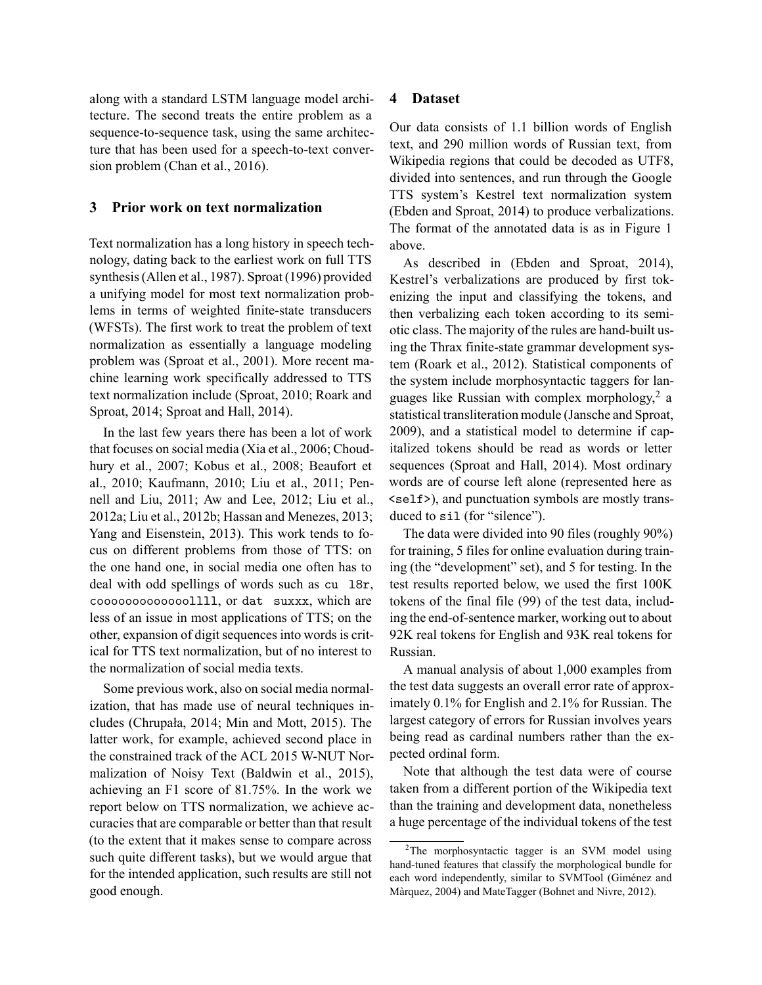along with a standard LSTM language model architecture. The second treats the entire problem as a sequence-to-sequence task, using the same architecture that has been used for a speech-to-text conversion problem (Chan et al., 2016).

## **3 Prior work on text normalization**

Text normalization has a long history in speech technology, dating back to the earliest work on full TTS synthesis (Allen et al., 1987). Sproat (1996) provided a unifying model for most text normalization problems in terms of weighted finite-state transducers (WFSTs). The first work to treat the problem of text normalization as essentially a language modeling problem was (Sproat et al., 2001). More recent machine learning work specifically addressed to TTS text normalization include (Sproat, 2010; Roark and Sproat, 2014; Sproat and Hall, 2014).

In the last few years there has been a lot of work that focuses on social media (Xia et al., 2006; Choudhury et al., 2007; Kobus et al., 2008; Beaufort et al., 2010; Kaufmann, 2010; Liu et al., 2011; Pennell and Liu, 2011; Aw and Lee, 2012; Liu et al., 2012a; Liu et al., 2012b; Hassan and Menezes, 2013; Yang and Eisenstein, 2013). This work tends to focus on different problems from those of TTS: on the one hand one, in social media one often has to deal with odd spellings of words such as  $cu$  18 $r$ , coooooooooooooollll, or dat suxxx, which are less of an issue in most applications of TTS; on the other, expansion of digit sequences into words is critical for TTS text normalization, but of no interest to the normalization of social media texts.

Some previous work, also on social media normalization, that has made use of neural techniques includes (Chrupała, 2014; Min and Mott, 2015). The latter work, for example, achieved second place in the constrained track of the ACL 2015 W-NUT Normalization of Noisy Text (Baldwin et al., 2015), achieving an F1 score of 81.75%. In the work we report below on TTS normalization, we achieve accuracies that are comparable or better than that result (to the extent that it makes sense to compare across such quite different tasks), but we would argue that for the intended application, such results are still not good enough.

### **4 Dataset**

Our data consists of 1.1 billion words of English text, and 290 million words of Russian text, from Wikipedia regions that could be decoded as UTF8, divided into sentences, and run through the Google TTS system's Kestrel text normalization system (Ebden and Sproat, 2014) to produce verbalizations. The format of the annotated data is as in Figure 1 above.

As described in (Ebden and Sproat, 2014), Kestrel's verbalizations are produced by first tokenizing the input and classifying the tokens, and then verbalizing each token according to its semiotic class. The majority of the rules are hand-built using the Thrax finite-state grammar development system (Roark et al., 2012). Statistical components of the system include morphosyntactic taggers for languages like Russian with complex morphology,<sup>2</sup> a statistical transliteration module (Jansche and Sproat, 2009), and a statistical model to determine if capitalized tokens should be read as words or letter sequences (Sproat and Hall, 2014). Most ordinary words are of course left alone (represented here as  $\le$ self>), and punctuation symbols are mostly transduced to  $sil$  (for "silence").

The data were divided into 90 files (roughly 90%) for training, 5 files for online evaluation during training (the "development" set), and 5 for testing. In the test results reported below, we used the first 100K tokens of the final file (99) of the test data, including the end-of-sentence marker, working out to about 92K real tokens for English and 93K real tokens for Russian.

A manual analysis of about 1,000 examples from the test data suggests an overall error rate of approximately 0.1% for English and 2.1% for Russian. The largest category of errors for Russian involves years being read as cardinal numbers rather than the expected ordinal form.

Note that although the test data were of course taken from a different portion of the Wikipedia text than the training and development data, nonetheless a huge percentage of the individual tokens of the test

<sup>&</sup>lt;sup>2</sup>The morphosyntactic tagger is an SVM model using hand-tuned features that classify the morphological bundle for each word independently, similar to SVMTool (Giménez and Màrquez, 2004) and MateTagger (Bohnet and Nivre, 2012).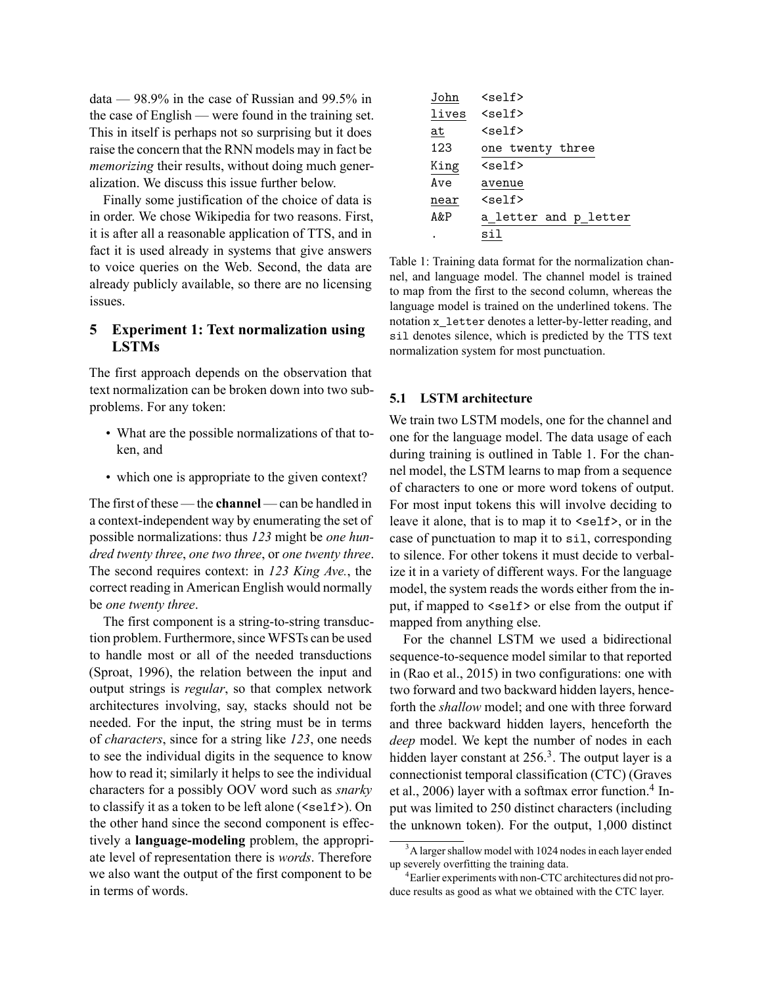data — 98.9% in the case of Russian and 99.5% in the case of English — were found in the training set. This in itself is perhaps not so surprising but it does raise the concern that the RNN models may in fact be *memorizing* their results, without doing much generalization. We discuss this issue further below.

Finally some justification of the choice of data is in order. We chose Wikipedia for two reasons. First, it is after all a reasonable application of TTS, and in fact it is used already in systems that give answers to voice queries on the Web. Second, the data are already publicly available, so there are no licensing issues.

## **5 Experiment 1: Text normalization using LSTMs**

The first approach depends on the observation that text normalization can be broken down into two subproblems. For any token:

- What are the possible normalizations of that token, and
- which one is appropriate to the given context?

The first of these — the **channel** — can be handled in a context-independent way by enumerating the set of possible normalizations: thus *123* might be *one hundred twenty three*, *one two three*, or *one twenty three*. The second requires context: in *123 King Ave.*, the correct reading in American English would normally be *one twenty three*.

The first component is a string-to-string transduction problem. Furthermore, since WFSTs can be used to handle most or all of the needed transductions (Sproat, 1996), the relation between the input and output strings is *regular*, so that complex network architectures involving, say, stacks should not be needed. For the input, the string must be in terms of *characters*, since for a string like *123*, one needs to see the individual digits in the sequence to know how to read it; similarly it helps to see the individual characters for a possibly OOV word such as *snarky* to classify it as a token to be left alone  $(\text{self})$ . On the other hand since the second component is effectively a **language-modeling** problem, the appropriate level of representation there is *words*. Therefore we also want the output of the first component to be in terms of words.

| John  | <self></self>         |
|-------|-----------------------|
| lives | $15$                  |
| at    | <self></self>         |
| 123   | one twenty three      |
| King  | <self></self>         |
| Ave   | avenue                |
| near  | <self></self>         |
| A&P   | a letter and p letter |
|       | sil                   |
|       |                       |

Table 1: Training data format for the normalization channel, and language model. The channel model is trained to map from the first to the second column, whereas the language model is trained on the underlined tokens. The notation x letter denotes a letter-by-letter reading, and sil denotes silence, which is predicted by the TTS text normalization system for most punctuation.

## **5.1 LSTM architecture**

We train two LSTM models, one for the channel and one for the language model. The data usage of each during training is outlined in Table 1. For the channel model, the LSTM learns to map from a sequence of characters to one or more word tokens of output. For most input tokens this will involve deciding to leave it alone, that is to map it to  $\leq$  self>, or in the case of punctuation to map it to  $si1$ , corresponding to silence. For other tokens it must decide to verbalize it in a variety of different ways. For the language model, the system reads the words either from the input, if mapped to  $\leq$ self> or else from the output if mapped from anything else.

For the channel LSTM we used a bidirectional sequence-to-sequence model similar to that reported in (Rao et al., 2015) in two configurations: one with two forward and two backward hidden layers, henceforth the *shallow* model; and one with three forward and three backward hidden layers, henceforth the *deep* model. We kept the number of nodes in each hidden layer constant at  $256<sup>3</sup>$ . The output layer is a connectionist temporal classification (CTC) (Graves et al., 2006) layer with a softmax error function.<sup>4</sup> Input was limited to 250 distinct characters (including the unknown token). For the output, 1,000 distinct

<sup>&</sup>lt;sup>3</sup>A larger shallow model with 1024 nodes in each layer ended up severely overfitting the training data.

<sup>4</sup> Earlier experiments with non-CTC architectures did not produce results as good as what we obtained with the CTC layer.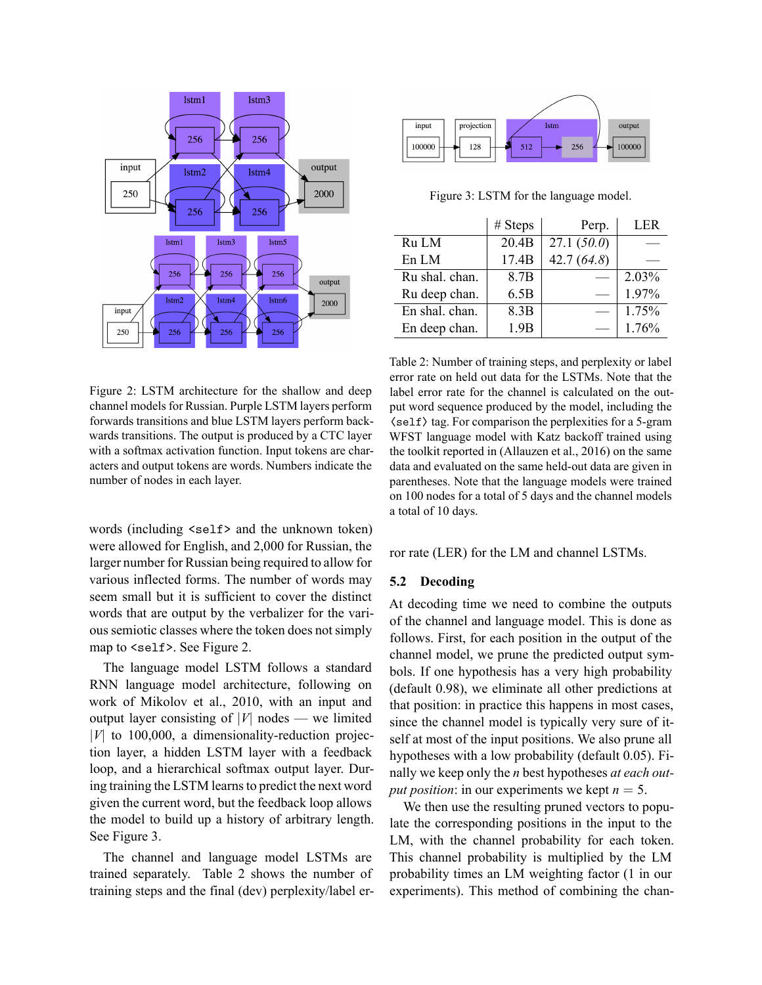

Figure 2: LSTM architecture for the shallow and deep channel models for Russian. Purple LSTM layers perform forwards transitions and blue LSTM layers perform backwards transitions. The output is produced by a CTC layer with a softmax activation function. Input tokens are characters and output tokens are words. Numbers indicate the number of nodes in each layer.

words (including <self> and the unknown token) were allowed for English, and 2,000 for Russian, the larger number for Russian being required to allow for various inflected forms. The number of words may seem small but it is sufficient to cover the distinct words that are output by the verbalizer for the various semiotic classes where the token does not simply map to  $\leq$  self  $\geq$ . See Figure 2.

The language model LSTM follows a standard RNN language model architecture, following on work of Mikolov et al., 2010, with an input and output layer consisting of  $|V|$  nodes — we limited *|V|* to 100,000, a dimensionality-reduction projection layer, a hidden LSTM layer with a feedback loop, and a hierarchical softmax output layer. During training the LSTM learns to predict the next word given the current word, but the feedback loop allows the model to build up a history of arbitrary length. See Figure 3.

The channel and language model LSTMs are trained separately. Table 2 shows the number of training steps and the final (dev) perplexity/label er-



Figure 3: LSTM for the language model.

|                | # Steps | Perp.         | LER   |
|----------------|---------|---------------|-------|
| Ru LM          | 20.4B   | 27.1(50.0)    |       |
| En LM          | 17.4B   | 42.7 $(64.8)$ |       |
| Ru shal. chan. | 8.7B    |               | 2.03% |
| Ru deep chan.  | 6.5B    |               | 1.97% |
| En shal. chan. | 8.3B    |               | 1.75% |
| En deep chan.  | 1.9B    |               | 1.76% |

Table 2: Number of training steps, and perplexity or label error rate on held out data for the LSTMs. Note that the label error rate for the channel is calculated on the output word sequence produced by the model, including the  $\langle$ self $\rangle$  tag. For comparison the perplexities for a 5-gram WFST language model with Katz backoff trained using the toolkit reported in (Allauzen et al., 2016) on the same data and evaluated on the same held-out data are given in parentheses. Note that the language models were trained on 100 nodes for a total of 5 days and the channel models a total of 10 days.

ror rate (LER) for the LM and channel LSTMs.

### **5.2 Decoding**

At decoding time we need to combine the outputs of the channel and language model. This is done as follows. First, for each position in the output of the channel model, we prune the predicted output symbols. If one hypothesis has a very high probability (default 0.98), we eliminate all other predictions at that position: in practice this happens in most cases, since the channel model is typically very sure of itself at most of the input positions. We also prune all hypotheses with a low probability (default 0.05). Finally we keep only the *n* best hypotheses *at each output position*: in our experiments we kept  $n = 5$ .

We then use the resulting pruned vectors to populate the corresponding positions in the input to the LM, with the channel probability for each token. This channel probability is multiplied by the LM probability times an LM weighting factor (1 in our experiments). This method of combining the chan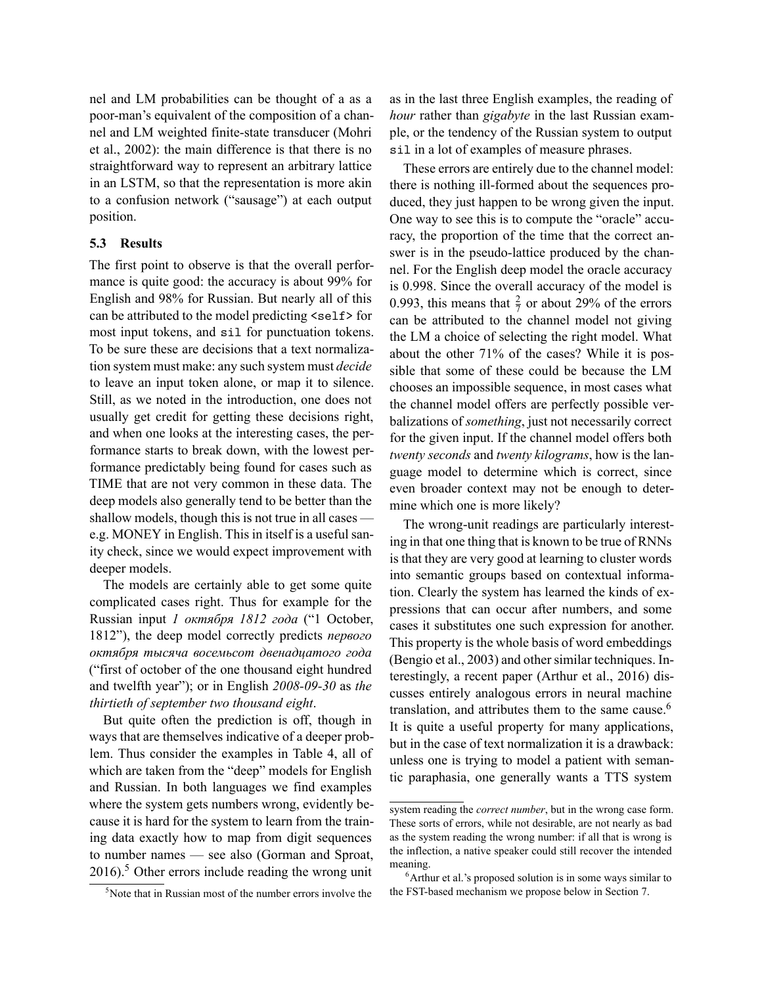nel and LM probabilities can be thought of a as a poor-man's equivalent of the composition of a channel and LM weighted finite-state transducer (Mohri et al., 2002): the main difference is that there is no straightforward way to represent an arbitrary lattice in an LSTM, so that the representation is more akin to a confusion network ("sausage") at each output position.

#### **5.3 Results**

The first point to observe is that the overall performance is quite good: the accuracy is about 99% for English and 98% for Russian. But nearly all of this can be attributed to the model predicting  $\le$ self> for most input tokens, and sil for punctuation tokens. To be sure these are decisions that a text normalization system must make: any such system must *decide* to leave an input token alone, or map it to silence. Still, as we noted in the introduction, one does not usually get credit for getting these decisions right, and when one looks at the interesting cases, the performance starts to break down, with the lowest performance predictably being found for cases such as TIME that are not very common in these data. The deep models also generally tend to be better than the shallow models, though this is not true in all cases e.g. MONEY in English. This in itself is a useful sanity check, since we would expect improvement with deeper models.

The models are certainly able to get some quite complicated cases right. Thus for example for the Russian input *1 октября 1812 года* ("1 October, 1812"), the deep model correctly predicts *первого октября тысяча восемьсот двенадцатого года* ("first of october of the one thousand eight hundred and twelfth year"); or in English *2008-09-30* as *the thirtieth of september two thousand eight*.

But quite often the prediction is off, though in ways that are themselves indicative of a deeper problem. Thus consider the examples in Table 4, all of which are taken from the "deep" models for English and Russian. In both languages we find examples where the system gets numbers wrong, evidently because it is hard for the system to learn from the training data exactly how to map from digit sequences to number names — see also (Gorman and Sproat,  $2016$ .<sup>5</sup> Other errors include reading the wrong unit

5 Note that in Russian most of the number errors involve the

as in the last three English examples, the reading of *hour* rather than *gigabyte* in the last Russian example, or the tendency of the Russian system to output sil in a lot of examples of measure phrases.

These errors are entirely due to the channel model: there is nothing ill-formed about the sequences produced, they just happen to be wrong given the input. One way to see this is to compute the "oracle" accuracy, the proportion of the time that the correct answer is in the pseudo-lattice produced by the channel. For the English deep model the oracle accuracy is 0.998. Since the overall accuracy of the model is 0.993, this means that  $\frac{2}{7}$  or about 29% of the errors can be attributed to the channel model not giving the LM a choice of selecting the right model. What about the other 71% of the cases? While it is possible that some of these could be because the LM chooses an impossible sequence, in most cases what the channel model offers are perfectly possible verbalizations of *something*, just not necessarily correct for the given input. If the channel model offers both *twenty seconds* and *twenty kilograms*, how is the language model to determine which is correct, since even broader context may not be enough to determine which one is more likely?

The wrong-unit readings are particularly interesting in that one thing that is known to be true of RNNs is that they are very good at learning to cluster words into semantic groups based on contextual information. Clearly the system has learned the kinds of expressions that can occur after numbers, and some cases it substitutes one such expression for another. This property is the whole basis of word embeddings (Bengio et al., 2003) and other similar techniques. Interestingly, a recent paper (Arthur et al., 2016) discusses entirely analogous errors in neural machine translation, and attributes them to the same cause.<sup>6</sup> It is quite a useful property for many applications, but in the case of text normalization it is a drawback: unless one is trying to model a patient with semantic paraphasia, one generally wants a TTS system

system reading the *correct number*, but in the wrong case form. These sorts of errors, while not desirable, are not nearly as bad as the system reading the wrong number: if all that is wrong is the inflection, a native speaker could still recover the intended meaning.

<sup>&</sup>lt;sup>6</sup> Arthur et al.'s proposed solution is in some ways similar to the FST-based mechanism we propose below in Section 7.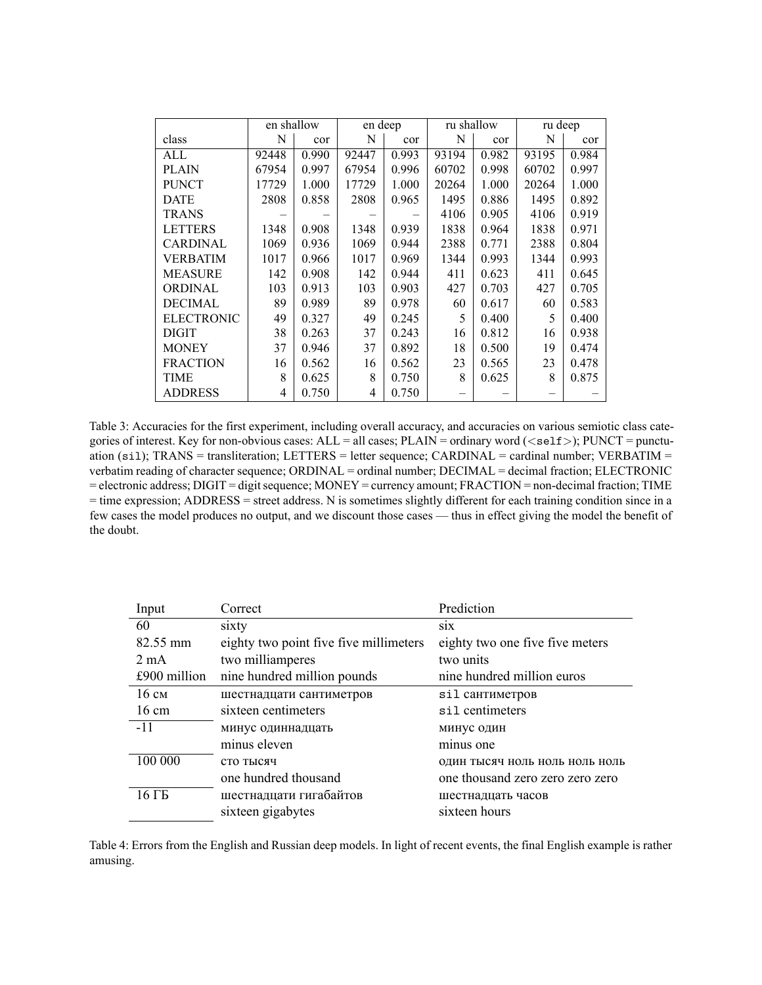|                   | en shallow |       | en deep |       | ru shallow |       | ru deep |       |
|-------------------|------------|-------|---------|-------|------------|-------|---------|-------|
| class             | N          | cor   | N       | cor   | N          | cor   | N       | cor   |
| ALL               | 92448      | 0.990 | 92447   | 0.993 | 93194      | 0.982 | 93195   | 0.984 |
| <b>PLAIN</b>      | 67954      | 0.997 | 67954   | 0.996 | 60702      | 0.998 | 60702   | 0.997 |
| <b>PUNCT</b>      | 17729      | 1.000 | 17729   | 1.000 | 20264      | 1.000 | 20264   | 1.000 |
| <b>DATE</b>       | 2808       | 0.858 | 2808    | 0.965 | 1495       | 0.886 | 1495    | 0.892 |
| <b>TRANS</b>      |            |       |         |       | 4106       | 0.905 | 4106    | 0.919 |
| <b>LETTERS</b>    | 1348       | 0.908 | 1348    | 0.939 | 1838       | 0.964 | 1838    | 0.971 |
| <b>CARDINAL</b>   | 1069       | 0.936 | 1069    | 0.944 | 2388       | 0.771 | 2388    | 0.804 |
| <b>VERBATIM</b>   | 1017       | 0.966 | 1017    | 0.969 | 1344       | 0.993 | 1344    | 0.993 |
| <b>MEASURE</b>    | 142        | 0.908 | 142     | 0.944 | 411        | 0.623 | 411     | 0.645 |
| <b>ORDINAL</b>    | 103        | 0.913 | 103     | 0.903 | 427        | 0.703 | 427     | 0.705 |
| <b>DECIMAL</b>    | 89         | 0.989 | 89      | 0.978 | 60         | 0.617 | 60      | 0.583 |
| <b>ELECTRONIC</b> | 49         | 0.327 | 49      | 0.245 | 5          | 0.400 | 5       | 0.400 |
| <b>DIGIT</b>      | 38         | 0.263 | 37      | 0.243 | 16         | 0.812 | 16      | 0.938 |
| <b>MONEY</b>      | 37         | 0.946 | 37      | 0.892 | 18         | 0.500 | 19      | 0.474 |
| <b>FRACTION</b>   | 16         | 0.562 | 16      | 0.562 | 23         | 0.565 | 23      | 0.478 |
| <b>TIME</b>       | 8          | 0.625 | 8       | 0.750 | 8          | 0.625 | 8       | 0.875 |
| <b>ADDRESS</b>    | 4          | 0.750 | 4       | 0.750 |            |       |         |       |

Table 3: Accuracies for the first experiment, including overall accuracy, and accuracies on various semiotic class categories of interest. Key for non-obvious cases: ALL = all cases; PLAIN = ordinary word ( $\langle$ se1f>); PUNCT = punctuation (si1); TRANS = transliteration; LETTERS = letter sequence; CARDINAL = cardinal number; VERBATIM = verbatim reading of character sequence; ORDINAL = ordinal number; DECIMAL = decimal fraction; ELECTRONIC = electronic address; DIGIT = digit sequence; MONEY = currency amount; FRACTION = non-decimal fraction; TIME = time expression; ADDRESS = street address. N is sometimes slightly different for each training condition since in a few cases the model produces no output, and we discount those cases — thus in effect giving the model the benefit of the doubt.

| Input           | Correct                                | Prediction                       |
|-----------------|----------------------------------------|----------------------------------|
| 60              | sixty                                  | S1X                              |
| 82.55 mm        | eighty two point five five millimeters | eighty two one five five meters  |
| $2 \text{ mA}$  | two milliamperes                       | two units                        |
| £900 million    | nine hundred million pounds            | nine hundred million euros       |
| $16 \text{ cm}$ | шестнадцати сантиметров                | sil сантиметров                  |
| $16 \text{ cm}$ | sixteen centimeters                    | sil centimeters                  |
| $-11$           | минус одиннадцать                      | минус один                       |
|                 | minus eleven                           | minus one                        |
| 100 000         | сто тысяч                              | ОДИН ТЫСЯЧ НОЛЬ НОЛЬ НОЛЬ НОЛЬ   |
|                 | one hundred thousand                   | one thousand zero zero zero zero |
| 16 ГБ           | шестнадцати гигабайтов                 | шестнадцать часов                |
|                 | sixteen gigabytes                      | sixteen hours                    |

Table 4: Errors from the English and Russian deep models. In light of recent events, the final English example is rather amusing.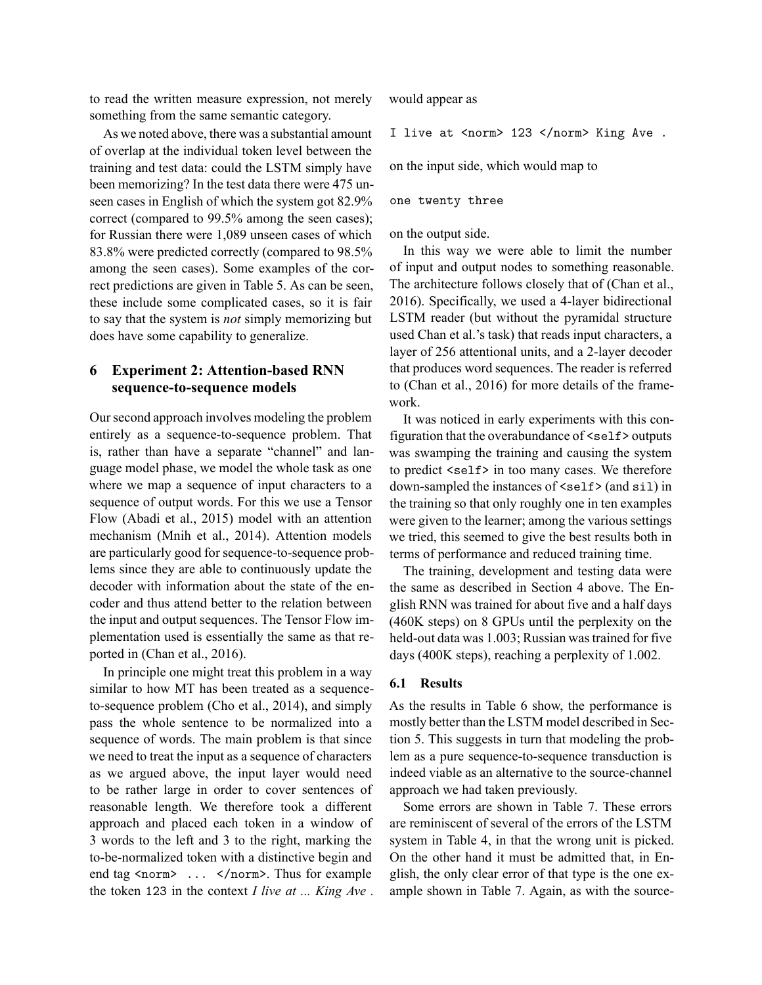to read the written measure expression, not merely something from the same semantic category.

As we noted above, there was a substantial amount of overlap at the individual token level between the training and test data: could the LSTM simply have been memorizing? In the test data there were 475 unseen cases in English of which the system got 82.9% correct (compared to 99.5% among the seen cases); for Russian there were 1,089 unseen cases of which 83.8% were predicted correctly (compared to 98.5% among the seen cases). Some examples of the correct predictions are given in Table 5. As can be seen, these include some complicated cases, so it is fair to say that the system is *not* simply memorizing but does have some capability to generalize.

## **6 Experiment 2: Attention-based RNN sequence-to-sequence models**

Our second approach involves modeling the problem entirely as a sequence-to-sequence problem. That is, rather than have a separate "channel" and language model phase, we model the whole task as one where we map a sequence of input characters to a sequence of output words. For this we use a Tensor Flow (Abadi et al., 2015) model with an attention mechanism (Mnih et al., 2014). Attention models are particularly good for sequence-to-sequence problems since they are able to continuously update the decoder with information about the state of the encoder and thus attend better to the relation between the input and output sequences. The Tensor Flow implementation used is essentially the same as that reported in (Chan et al., 2016).

In principle one might treat this problem in a way similar to how MT has been treated as a sequenceto-sequence problem (Cho et al., 2014), and simply pass the whole sentence to be normalized into a sequence of words. The main problem is that since we need to treat the input as a sequence of characters as we argued above, the input layer would need to be rather large in order to cover sentences of reasonable length. We therefore took a different approach and placed each token in a window of 3 words to the left and 3 to the right, marking the to-be-normalized token with a distinctive begin and end tag  $\langle norm \rangle$  ...  $\langle norm \rangle$ . Thus for example the token  $123$  in the context *I live at ... King Ave .*  would appear as

I live at  $\langle$  norm> 123  $\langle$  /norm> King Ave.

on the input side, which would map to

#### one twenty three

on the output side.

In this way we were able to limit the number of input and output nodes to something reasonable. The architecture follows closely that of (Chan et al., 2016). Specifically, we used a 4-layer bidirectional LSTM reader (but without the pyramidal structure used Chan et al.'s task) that reads input characters, a layer of 256 attentional units, and a 2-layer decoder that produces word sequences. The reader is referred to (Chan et al., 2016) for more details of the framework.

It was noticed in early experiments with this configuration that the overabundance of  $\leq$ self> outputs was swamping the training and causing the system to predict <self> in too many cases. We therefore down-sampled the instances of <self> (and sil) in the training so that only roughly one in ten examples were given to the learner; among the various settings we tried, this seemed to give the best results both in terms of performance and reduced training time.

The training, development and testing data were the same as described in Section 4 above. The English RNN was trained for about five and a half days (460K steps) on 8 GPUs until the perplexity on the held-out data was 1.003; Russian was trained for five days (400K steps), reaching a perplexity of 1.002.

### **6.1 Results**

As the results in Table 6 show, the performance is mostly better than the LSTM model described in Section 5. This suggests in turn that modeling the problem as a pure sequence-to-sequence transduction is indeed viable as an alternative to the source-channel approach we had taken previously.

Some errors are shown in Table 7. These errors are reminiscent of several of the errors of the LSTM system in Table 4, in that the wrong unit is picked. On the other hand it must be admitted that, in English, the only clear error of that type is the one example shown in Table 7. Again, as with the source-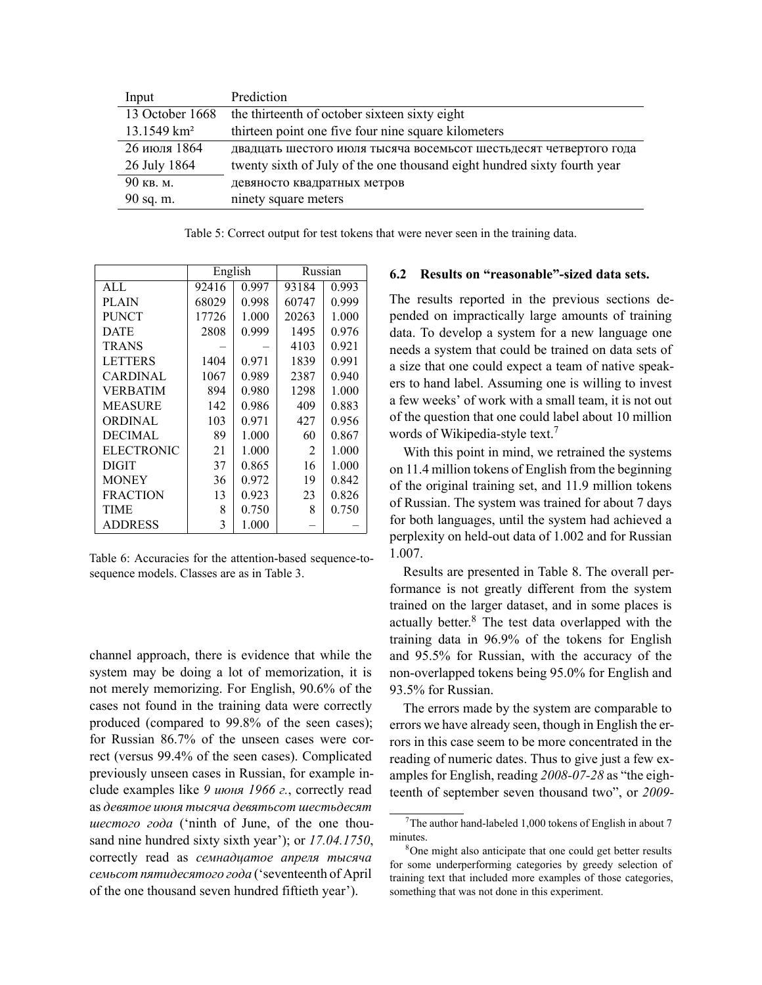| Input                   | Prediction                                                               |
|-------------------------|--------------------------------------------------------------------------|
| 13 October 1668         | the thirteenth of october sixteen sixty eight                            |
| 13.1549 km <sup>2</sup> | thirteen point one five four nine square kilometers                      |
| 26 июля 1864            | двадцать шестого июля тысяча восемьсот шестьдесят четвертого года        |
| 26 July 1864            | twenty sixth of July of the one thousand eight hundred sixty fourth year |
| 90 кв. м.               | девяносто квадратных метров                                              |
| 90 sq. m.               | ninety square meters                                                     |

Table 5: Correct output for test tokens that were never seen in the training data.

|                   | English |       | Russian |       |
|-------------------|---------|-------|---------|-------|
| AI.               | 92416   | 0.997 | 93184   | 0.993 |
| <b>PLAIN</b>      | 68029   | 0.998 | 60747   | 0.999 |
| <b>PUNCT</b>      | 17726   | 1.000 | 20263   | 1.000 |
| <b>DATE</b>       | 2808    | 0.999 | 1495    | 0.976 |
| <b>TRANS</b>      |         |       | 4103    | 0.921 |
| <b>LETTERS</b>    | 1404    | 0.971 | 1839    | 0.991 |
| CARDINAL          | 1067    | 0.989 | 2387    | 0.940 |
| VERBATIM          | 894     | 0.980 | 1298    | 1.000 |
| <b>MEASURE</b>    | 142     | 0.986 | 409     | 0.883 |
| <b>ORDINAL</b>    | 103     | 0.971 | 427     | 0.956 |
| <b>DECIMAL</b>    | 89      | 1.000 | 60      | 0.867 |
| <b>ELECTRONIC</b> | 21      | 1.000 | 2       | 1.000 |
| <b>DIGIT</b>      | 37      | 0.865 | 16      | 1.000 |
| <b>MONEY</b>      | 36      | 0.972 | 19      | 0.842 |
| <b>FRACTION</b>   | 13      | 0.923 | 23      | 0.826 |
| TIME              | 8       | 0.750 | 8       | 0.750 |
| <b>ADDRESS</b>    | 3       | 1.000 |         |       |

Table 6: Accuracies for the attention-based sequence-tosequence models. Classes are as in Table 3.

channel approach, there is evidence that while the system may be doing a lot of memorization, it is not merely memorizing. For English, 90.6% of the cases not found in the training data were correctly produced (compared to 99.8% of the seen cases); for Russian 86.7% of the unseen cases were correct (versus 99.4% of the seen cases). Complicated previously unseen cases in Russian, for example include examples like *9 июня 1966 г.*, correctly read as *девятое июня тысяча девятьсот шестьдесят шестого года* ('ninth of June, of the one thousand nine hundred sixty sixth year'); or *17.04.1750*, correctly read as *семнадцатое апреля тысяча семьсот пятидесятого года* ('seventeenth of April of the one thousand seven hundred fiftieth year').

## **6.2 Results on "reasonable"-sized data sets.**

The results reported in the previous sections depended on impractically large amounts of training data. To develop a system for a new language one needs a system that could be trained on data sets of a size that one could expect a team of native speakers to hand label. Assuming one is willing to invest a few weeks' of work with a small team, it is not out of the question that one could label about 10 million words of Wikipedia-style text.<sup>7</sup>

With this point in mind, we retrained the systems on 11.4 million tokens of English from the beginning of the original training set, and 11.9 million tokens of Russian. The system was trained for about 7 days for both languages, until the system had achieved a perplexity on held-out data of 1.002 and for Russian 1.007.

Results are presented in Table 8. The overall performance is not greatly different from the system trained on the larger dataset, and in some places is actually better.<sup>8</sup> The test data overlapped with the training data in 96.9% of the tokens for English and 95.5% for Russian, with the accuracy of the non-overlapped tokens being 95.0% for English and 93.5% for Russian.

The errors made by the system are comparable to errors we have already seen, though in English the errors in this case seem to be more concentrated in the reading of numeric dates. Thus to give just a few examples for English, reading *2008-07-28* as "the eighteenth of september seven thousand two", or *2009-*

<sup>&</sup>lt;sup>7</sup>The author hand-labeled 1,000 tokens of English in about 7 minutes.

<sup>&</sup>lt;sup>8</sup>One might also anticipate that one could get better results for some underperforming categories by greedy selection of training text that included more examples of those categories, something that was not done in this experiment.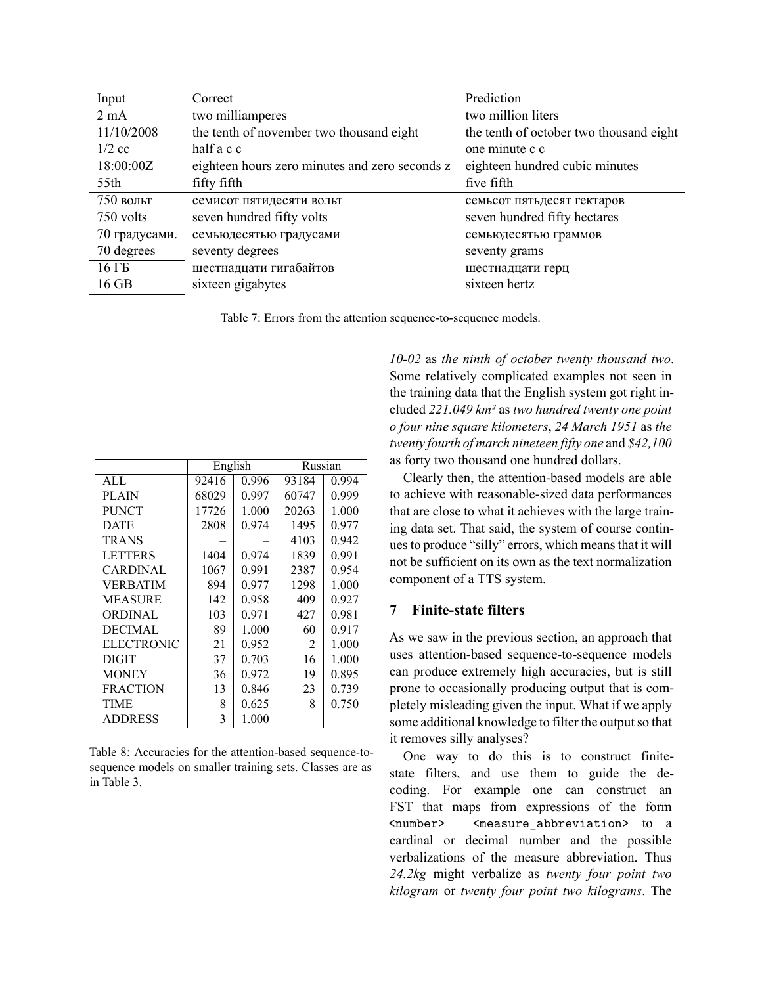| Input          | Correct                                        | Prediction                              |
|----------------|------------------------------------------------|-----------------------------------------|
| $2 \text{ mA}$ | two milliamperes                               | two million liters                      |
| 11/10/2008     | the tenth of november two thousand eight       | the tenth of october two thousand eight |
| $1/2$ cc       | half a c c                                     | one minute c c                          |
| 18:00:00Z      | eighteen hours zero minutes and zero seconds z | eighteen hundred cubic minutes          |
| 55th           | fifty fifth                                    | five fifth                              |
| $750$ вольт    | семисот пятидесяти вольт                       | семьсот пятьдесят гектаров              |
| 750 volts      | seven hundred fifty volts                      | seven hundred fifty hectares            |
| 70 градусами.  | семьюдесятью градусами                         | семьюдесятью граммов                    |
| 70 degrees     | seventy degrees                                | seventy grams                           |
| $16 \Gamma$    | шестнадцати гигабайтов                         | шестнадцати герц                        |
| 16 GB          | sixteen gigabytes                              | sixteen hertz                           |

Table 7: Errors from the attention sequence-to-sequence models.

|                   | English |       | Russian |       |
|-------------------|---------|-------|---------|-------|
| ALL               | 92416   | 0.996 | 93184   | 0.994 |
| <b>PLAIN</b>      | 68029   | 0.997 | 60747   | 0.999 |
| <b>PUNCT</b>      | 17726   | 1.000 | 20263   | 1.000 |
| <b>DATE</b>       | 2808    | 0.974 | 1495    | 0.977 |
| <b>TRANS</b>      |         |       | 4103    | 0.942 |
| <b>LETTERS</b>    | 1404    | 0.974 | 1839    | 0.991 |
| CARDINAL          | 1067    | 0.991 | 2387    | 0.954 |
| <b>VERBATIM</b>   | 894     | 0.977 | 1298    | 1.000 |
| <b>MEASURE</b>    | 142     | 0.958 | 409     | 0.927 |
| <b>ORDINAL</b>    | 103     | 0.971 | 427     | 0.981 |
| <b>DECIMAL</b>    | 89      | 1.000 | 60      | 0.917 |
| <b>ELECTRONIC</b> | 21      | 0.952 | 2       | 1.000 |
| <b>DIGIT</b>      | 37      | 0.703 | 16      | 1.000 |
| <b>MONEY</b>      | 36      | 0.972 | 19      | 0.895 |
| <b>FRACTION</b>   | 13      | 0.846 | 23      | 0.739 |
| <b>TIME</b>       | 8       | 0.625 | 8       | 0.750 |
| <b>ADDRESS</b>    | 3       | 1.000 |         |       |

Table 8: Accuracies for the attention-based sequence-tosequence models on smaller training sets. Classes are as in Table 3.

*10-02* as *the ninth of october twenty thousand two*. Some relatively complicated examples not seen in the training data that the English system got right included *221.049 km²* as *two hundred twenty one point o four nine square kilometers*, *24 March 1951* as *the twenty fourth of march nineteen fifty one* and *\$42,100* as forty two thousand one hundred dollars.

Clearly then, the attention-based models are able to achieve with reasonable-sized data performances that are close to what it achieves with the large training data set. That said, the system of course continues to produce "silly" errors, which means that it will not be sufficient on its own as the text normalization component of a TTS system.

## **7 Finite-state filters**

As we saw in the previous section, an approach that uses attention-based sequence-to-sequence models can produce extremely high accuracies, but is still prone to occasionally producing output that is completely misleading given the input. What if we apply some additional knowledge to filter the output so that it removes silly analyses?

One way to do this is to construct finitestate filters, and use them to guide the decoding. For example one can construct an FST that maps from expressions of the form  $\langle$ number>  $\langle$ measure\_abbreviation> to a cardinal or decimal number and the possible verbalizations of the measure abbreviation. Thus *24.2kg* might verbalize as *twenty four point two kilogram* or *twenty four point two kilograms*. The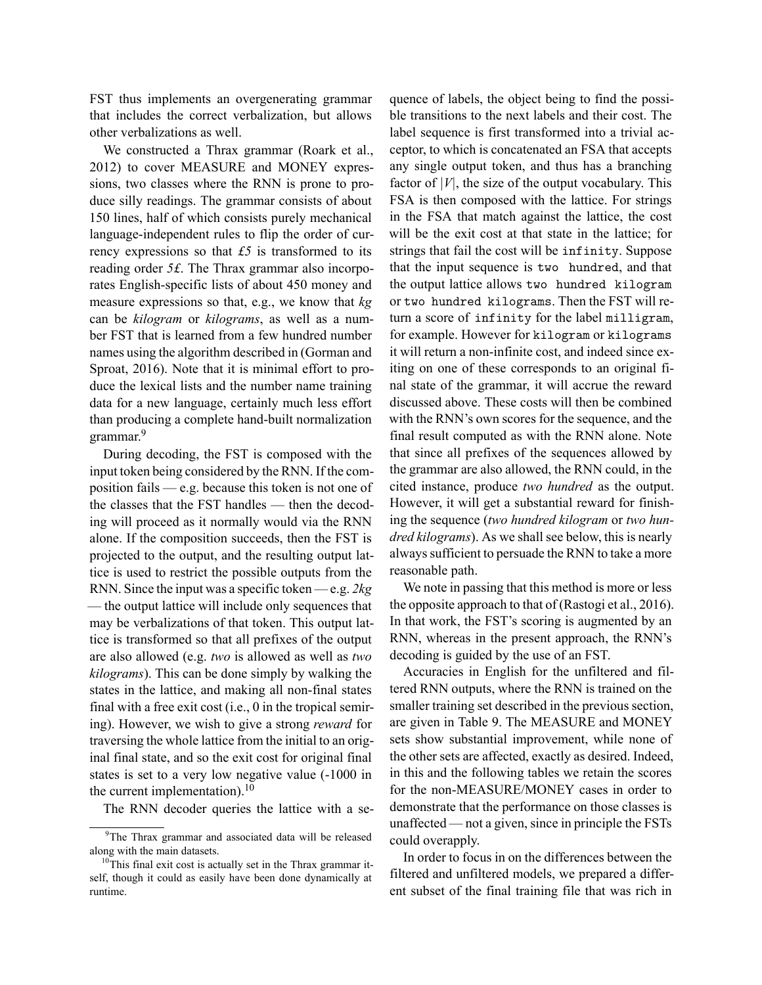FST thus implements an overgenerating grammar that includes the correct verbalization, but allows other verbalizations as well.

We constructed a Thrax grammar (Roark et al., 2012) to cover MEASURE and MONEY expressions, two classes where the RNN is prone to produce silly readings. The grammar consists of about 150 lines, half of which consists purely mechanical language-independent rules to flip the order of currency expressions so that *£5* is transformed to its reading order *5£*. The Thrax grammar also incorporates English-specific lists of about 450 money and measure expressions so that, e.g., we know that *kg* can be *kilogram* or *kilograms*, as well as a number FST that is learned from a few hundred number names using the algorithm described in (Gorman and Sproat, 2016). Note that it is minimal effort to produce the lexical lists and the number name training data for a new language, certainly much less effort than producing a complete hand-built normalization grammar.<sup>9</sup>

During decoding, the FST is composed with the input token being considered by the RNN. If the composition fails — e.g. because this token is not one of the classes that the FST handles — then the decoding will proceed as it normally would via the RNN alone. If the composition succeeds, then the FST is projected to the output, and the resulting output lattice is used to restrict the possible outputs from the RNN. Since the input was a specific token — e.g. *2kg* — the output lattice will include only sequences that may be verbalizations of that token. This output lattice is transformed so that all prefixes of the output are also allowed (e.g. *two* is allowed as well as *two kilograms*). This can be done simply by walking the states in the lattice, and making all non-final states final with a free exit cost (i.e., 0 in the tropical semiring). However, we wish to give a strong *reward* for traversing the whole lattice from the initial to an original final state, and so the exit cost for original final states is set to a very low negative value (-1000 in the current implementation). $10$ 

The RNN decoder queries the lattice with a se-

quence of labels, the object being to find the possible transitions to the next labels and their cost. The label sequence is first transformed into a trivial acceptor, to which is concatenated an FSA that accepts any single output token, and thus has a branching factor of  $|V|$ , the size of the output vocabulary. This FSA is then composed with the lattice. For strings in the FSA that match against the lattice, the cost will be the exit cost at that state in the lattice; for strings that fail the cost will be infinity. Suppose that the input sequence is two hundred, and that the output lattice allows two hundred kilogram or two hundred kilograms. Then the FST will return a score of infinity for the label milligram, for example. However for kilogram or kilograms it will return a non-infinite cost, and indeed since exiting on one of these corresponds to an original final state of the grammar, it will accrue the reward discussed above. These costs will then be combined with the RNN's own scores for the sequence, and the final result computed as with the RNN alone. Note that since all prefixes of the sequences allowed by the grammar are also allowed, the RNN could, in the cited instance, produce *two hundred* as the output. However, it will get a substantial reward for finishing the sequence (*two hundred kilogram* or *two hundred kilograms*). As we shall see below, this is nearly always sufficient to persuade the RNN to take a more reasonable path.

We note in passing that this method is more or less the opposite approach to that of (Rastogi et al., 2016). In that work, the FST's scoring is augmented by an RNN, whereas in the present approach, the RNN's decoding is guided by the use of an FST.

Accuracies in English for the unfiltered and filtered RNN outputs, where the RNN is trained on the smaller training set described in the previous section, are given in Table 9. The MEASURE and MONEY sets show substantial improvement, while none of the other sets are affected, exactly as desired. Indeed, in this and the following tables we retain the scores for the non-MEASURE/MONEY cases in order to demonstrate that the performance on those classes is unaffected — not a given, since in principle the FSTs could overapply.

In order to focus in on the differences between the filtered and unfiltered models, we prepared a different subset of the final training file that was rich in

<sup>&</sup>lt;sup>9</sup>The Thrax grammar and associated data will be released along with the main datasets.

 $10$ This final exit cost is actually set in the Thrax grammar itself, though it could as easily have been done dynamically at runtime.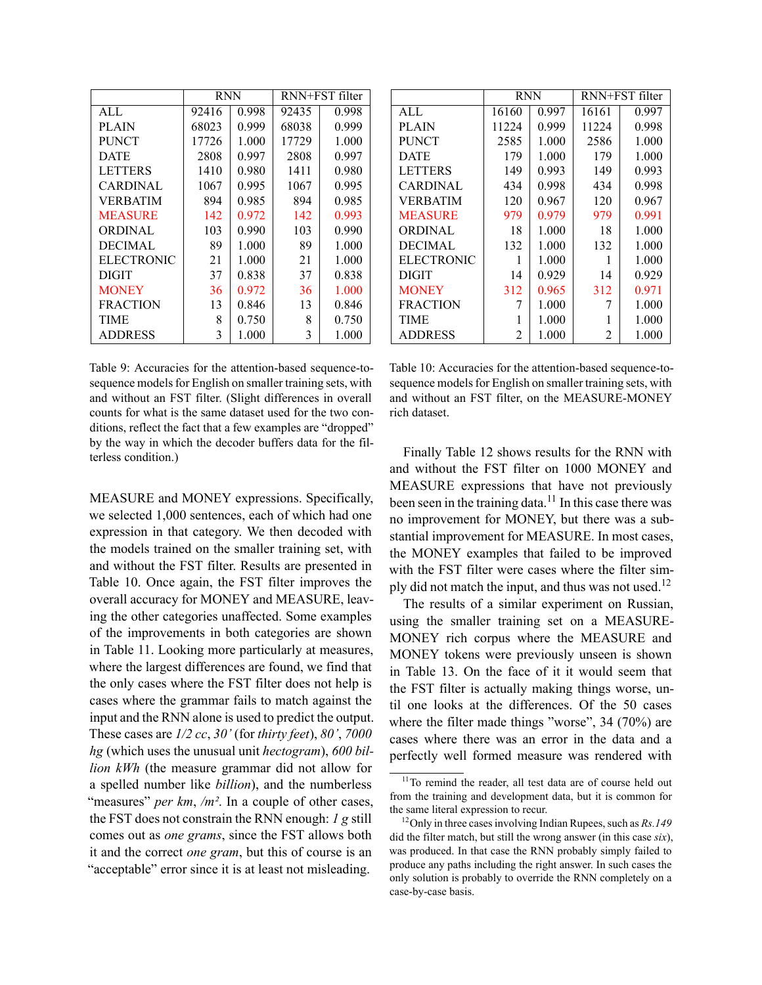|                   | <b>RNN</b> |       | RNN+FST filter |       |
|-------------------|------------|-------|----------------|-------|
| ALL               | 92416      | 0.998 | 92435          | 0.998 |
| <b>PLAIN</b>      | 68023      | 0.999 | 68038          | 0.999 |
| <b>PUNCT</b>      | 17726      | 1.000 | 17729          | 1.000 |
| <b>DATE</b>       | 2808       | 0.997 | 2808           | 0.997 |
| <b>LETTERS</b>    | 1410       | 0.980 | 1411           | 0.980 |
| CARDINAL          | 1067       | 0.995 | 1067           | 0.995 |
| <b>VERBATIM</b>   | 894        | 0.985 | 894            | 0.985 |
| <b>MEASURE</b>    | 142        | 0.972 | 142            | 0.993 |
| <b>ORDINAL</b>    | 103        | 0.990 | 103            | 0.990 |
| <b>DECIMAL</b>    | 89         | 1.000 | 89             | 1.000 |
| <b>ELECTRONIC</b> | 21         | 1.000 | 21             | 1.000 |
| DIGIT             | 37         | 0.838 | 37             | 0.838 |
| <b>MONEY</b>      | 36         | 0.972 | 36             | 1.000 |
| <b>FRACTION</b>   | 13         | 0.846 | 13             | 0.846 |
| TIME              | 8          | 0.750 | 8              | 0.750 |
| <b>ADDRESS</b>    | 3          | 1.000 | 3              | 1.000 |

|                   | <b>RNN</b> |       | RNN+FST filter |       |
|-------------------|------------|-------|----------------|-------|
| AI.               | 16160      | 0.997 | 16161          | 0.997 |
| <b>PLAIN</b>      | 11224      | 0.999 | 11224          | 0.998 |
| <b>PUNCT</b>      | 2585       | 1.000 | 2586           | 1.000 |
| <b>DATE</b>       | 179        | 1.000 | 179            | 1.000 |
| <b>LETTERS</b>    | 149        | 0.993 | 149            | 0.993 |
| CARDINAL          | 434        | 0.998 | 434            | 0.998 |
| <b>VERBATIM</b>   | 120        | 0.967 | 120            | 0.967 |
| <b>MEASURE</b>    | 979        | 0.979 | 979            | 0.991 |
| <b>ORDINAL</b>    | 18         | 1.000 | 18             | 1.000 |
| <b>DECIMAL</b>    | 132        | 1.000 | 132            | 1.000 |
| <b>ELECTRONIC</b> | 1          | 1.000 | 1              | 1.000 |
| DIGIT             | 14         | 0.929 | 14             | 0.929 |
| <b>MONEY</b>      | 312        | 0.965 | 312            | 0.971 |
| <b>FRACTION</b>   |            | 1.000 | 7              | 1.000 |
| TIME              |            | 1.000 |                | 1.000 |
| <b>ADDRESS</b>    | 2          | 1.000 | 2              | 1.000 |

Table 9: Accuracies for the attention-based sequence-tosequence models for English on smaller training sets, with and without an FST filter. (Slight differences in overall counts for what is the same dataset used for the two conditions, reflect the fact that a few examples are "dropped" by the way in which the decoder buffers data for the filterless condition.)

MEASURE and MONEY expressions. Specifically, we selected 1,000 sentences, each of which had one expression in that category. We then decoded with the models trained on the smaller training set, with and without the FST filter. Results are presented in Table 10. Once again, the FST filter improves the overall accuracy for MONEY and MEASURE, leaving the other categories unaffected. Some examples of the improvements in both categories are shown in Table 11. Looking more particularly at measures, where the largest differences are found, we find that the only cases where the FST filter does not help is cases where the grammar fails to match against the input and the RNN alone is used to predict the output. These cases are *1/2 cc*, *30'* (for *thirty feet*), *80'*, *7000 hg* (which uses the unusual unit *hectogram*), *600 billion kWh* (the measure grammar did not allow for a spelled number like *billion*), and the numberless "measures" *per km*, /*m*<sup>2</sup>. In a couple of other cases, the FST does not constrain the RNN enough: *1 g* still comes out as *one grams*, since the FST allows both it and the correct *one gram*, but this of course is an "acceptable" error since it is at least not misleading.

Table 10: Accuracies for the attention-based sequence-tosequence models for English on smaller training sets, with and without an FST filter, on the MEASURE-MONEY rich dataset.

Finally Table 12 shows results for the RNN with and without the FST filter on 1000 MONEY and MEASURE expressions that have not previously been seen in the training data.<sup>11</sup> In this case there was no improvement for MONEY, but there was a substantial improvement for MEASURE. In most cases, the MONEY examples that failed to be improved with the FST filter were cases where the filter simply did not match the input, and thus was not used.<sup>12</sup>

The results of a similar experiment on Russian, using the smaller training set on a MEASURE-MONEY rich corpus where the MEASURE and MONEY tokens were previously unseen is shown in Table 13. On the face of it it would seem that the FST filter is actually making things worse, until one looks at the differences. Of the 50 cases where the filter made things "worse", 34 (70%) are cases where there was an error in the data and a perfectly well formed measure was rendered with

<sup>&</sup>lt;sup>11</sup>To remind the reader, all test data are of course held out from the training and development data, but it is common for the same literal expression to recur.

<sup>12</sup>Only in three cases involving Indian Rupees, such as *Rs.149* did the filter match, but still the wrong answer (in this case *six*), was produced. In that case the RNN probably simply failed to produce any paths including the right answer. In such cases the only solution is probably to override the RNN completely on a case-by-case basis.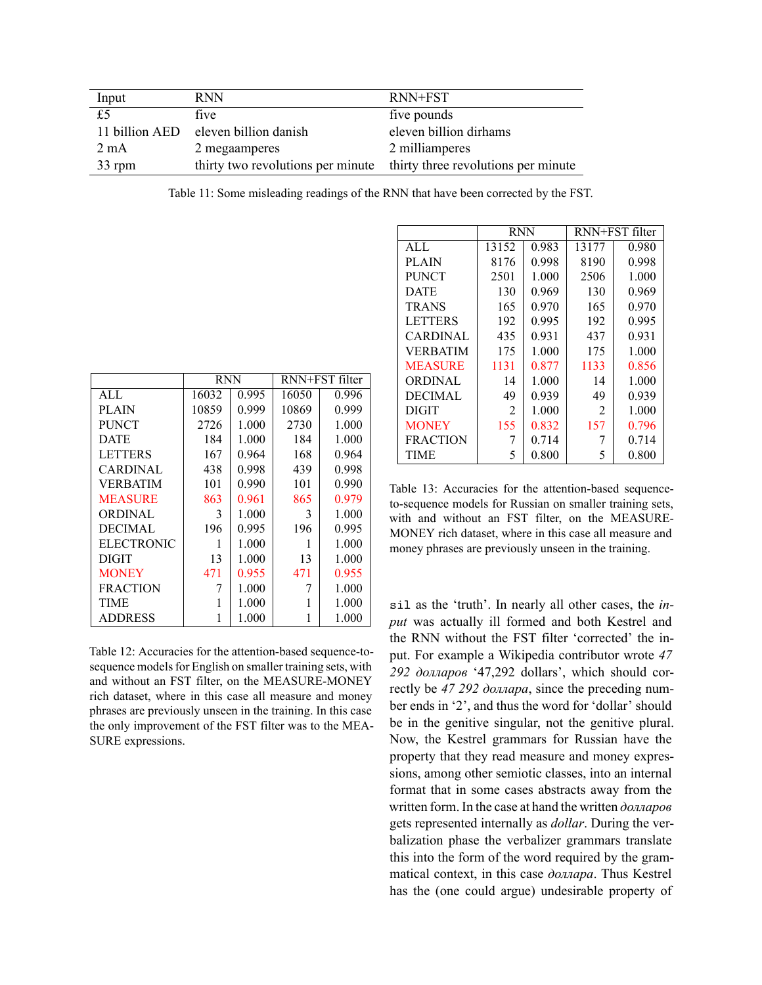| Input          | <b>RNN</b>            | RNN+FST                                                               |
|----------------|-----------------------|-----------------------------------------------------------------------|
| £5             | five                  | five pounds                                                           |
| 11 billion AED | eleven billion danish | eleven billion dirhams                                                |
| $2 \text{ mA}$ | 2 megaamperes         | 2 milliamperes                                                        |
| 33 rpm         |                       | thirty two revolutions per minute thirty three revolutions per minute |

Table 11: Some misleading readings of the RNN that have been corrected by the FST.

|                   | <b>RNN</b> |       | RNN+FST filter |       |
|-------------------|------------|-------|----------------|-------|
| AI.               | 16032      | 0.995 | 16050          | 0.996 |
| PLAIN             | 10859      | 0.999 | 10869          | 0.999 |
| <b>PUNCT</b>      | 2726       | 1.000 | 2730           | 1.000 |
| <b>DATE</b>       | 184        | 1.000 | 184            | 1.000 |
| <b>LETTERS</b>    | 167        | 0.964 | 168            | 0.964 |
| <b>CARDINAL</b>   | 438        | 0.998 | 439            | 0.998 |
| <b>VERBATIM</b>   | 101        | 0.990 | 101            | 0.990 |
| <b>MEASURE</b>    | 863        | 0.961 | 865            | 0.979 |
| <b>ORDINAL</b>    | 3          | 1.000 | 3              | 1.000 |
| <b>DECIMAL</b>    | 196        | 0.995 | 196            | 0.995 |
| <b>ELECTRONIC</b> | 1          | 1.000 | 1              | 1.000 |
| DIGIT             | 13         | 1.000 | 13             | 1.000 |
| <b>MONEY</b>      | 471        | 0.955 | 471            | 0.955 |
| <b>FRACTION</b>   | 7          | 1.000 | 7              | 1.000 |
| <b>TIME</b>       | 1          | 1.000 |                | 1.000 |
| <b>ADDRESS</b>    |            | 1.000 |                | 1.000 |

Table 12: Accuracies for the attention-based sequence-tosequence models for English on smaller training sets, with and without an FST filter, on the MEASURE-MONEY rich dataset, where in this case all measure and money phrases are previously unseen in the training. In this case the only improvement of the FST filter was to the MEA-SURE expressions.

|                 | <b>RNN</b> |       | RNN+FST filter |       |  |  |  |
|-----------------|------------|-------|----------------|-------|--|--|--|
| AI.             | 13152      | 0.983 | 13177          | 0.980 |  |  |  |
| <b>PLAIN</b>    | 8176       | 0.998 | 8190           | 0.998 |  |  |  |
| <b>PUNCT</b>    | 2501       | 1.000 | 2506           | 1.000 |  |  |  |
| <b>DATE</b>     | 130        | 0.969 | 130            | 0.969 |  |  |  |
| <b>TRANS</b>    | 165        | 0.970 | 165            | 0.970 |  |  |  |
| <b>LETTERS</b>  | 192        | 0.995 | 192            | 0.995 |  |  |  |
| <b>CARDINAL</b> | 435        | 0.931 | 437            | 0.931 |  |  |  |
| <b>VERBATIM</b> | 175        | 1.000 | 175            | 1.000 |  |  |  |
| <b>MEASURE</b>  | 1131       | 0.877 | 1133           | 0.856 |  |  |  |
| <b>ORDINAL</b>  | 14         | 1.000 | 14             | 1.000 |  |  |  |
| <b>DECIMAL</b>  | 49         | 0.939 | 49             | 0.939 |  |  |  |
| <b>DIGIT</b>    | 2          | 1.000 | 2              | 1.000 |  |  |  |
| <b>MONEY</b>    | 155        | 0.832 | 157            | 0.796 |  |  |  |
| <b>FRACTION</b> | 7          | 0.714 | 7              | 0.714 |  |  |  |
| TIME            | 5          | 0.800 | 5              | 0.800 |  |  |  |

Table 13: Accuracies for the attention-based sequenceto-sequence models for Russian on smaller training sets, with and without an FST filter, on the MEASURE-MONEY rich dataset, where in this case all measure and money phrases are previously unseen in the training.

sil as the 'truth'. In nearly all other cases, the *input* was actually ill formed and both Kestrel and the RNN without the FST filter 'corrected' the input. For example a Wikipedia contributor wrote *47 292 долларов* '47,292 dollars', which should correctly be *47 292 доллара*, since the preceding number ends in '2', and thus the word for 'dollar' should be in the genitive singular, not the genitive plural. Now, the Kestrel grammars for Russian have the property that they read measure and money expressions, among other semiotic classes, into an internal format that in some cases abstracts away from the written form. In the case at hand the written *долларов* gets represented internally as *dollar*. During the verbalization phase the verbalizer grammars translate this into the form of the word required by the grammatical context, in this case *доллара*. Thus Kestrel has the (one could argue) undesirable property of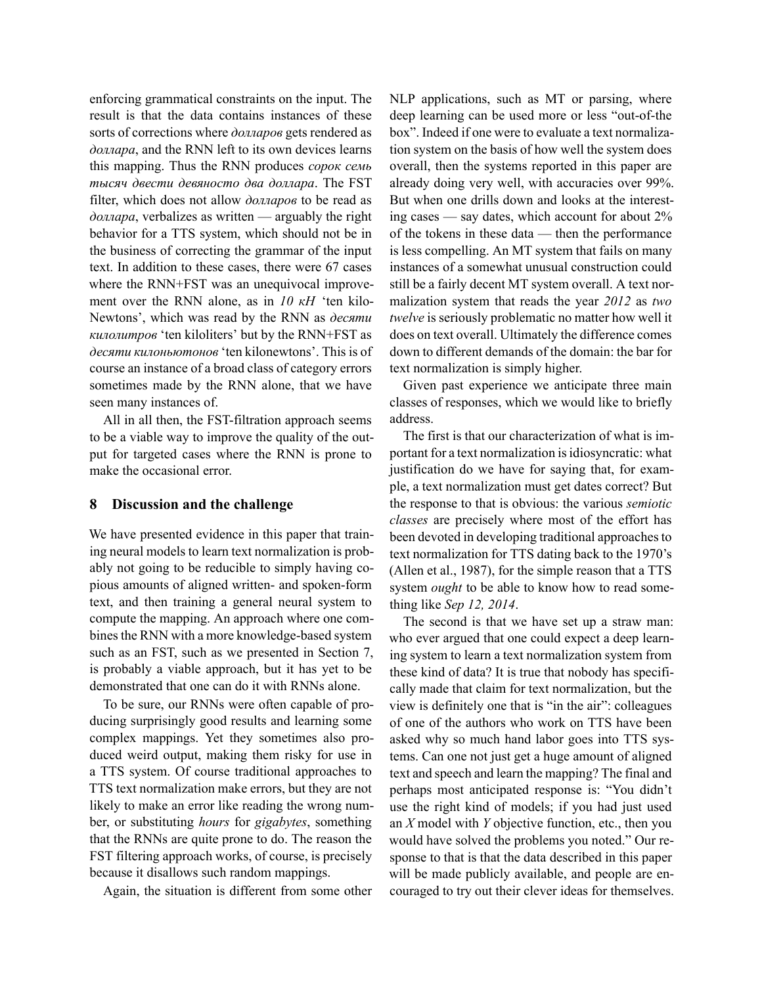enforcing grammatical constraints on the input. The result is that the data contains instances of these sorts of corrections where *долларов* gets rendered as *доллара*, and the RNN left to its own devices learns this mapping. Thus the RNN produces *сорок семь тысяч двести девяносто два доллара*. The FST filter, which does not allow *долларов* to be read as *доллара*, verbalizes as written — arguably the right behavior for a TTS system, which should not be in the business of correcting the grammar of the input text. In addition to these cases, there were 67 cases where the RNN+FST was an unequivocal improvement over the RNN alone, as in *10 kH* 'ten kilo-Newtons', which was read by the RNN as *десяти килолитров* 'ten kiloliters' but by the RNN+FST as *десяти килоньютонов* 'ten kilonewtons'. This is of course an instance of a broad class of category errors sometimes made by the RNN alone, that we have seen many instances of.

All in all then, the FST-filtration approach seems to be a viable way to improve the quality of the output for targeted cases where the RNN is prone to make the occasional error.

#### **8 Discussion and the challenge**

We have presented evidence in this paper that training neural models to learn text normalization is probably not going to be reducible to simply having copious amounts of aligned written- and spoken-form text, and then training a general neural system to compute the mapping. An approach where one combines the RNN with a more knowledge-based system such as an FST, such as we presented in Section 7, is probably a viable approach, but it has yet to be demonstrated that one can do it with RNNs alone.

To be sure, our RNNs were often capable of producing surprisingly good results and learning some complex mappings. Yet they sometimes also produced weird output, making them risky for use in a TTS system. Of course traditional approaches to TTS text normalization make errors, but they are not likely to make an error like reading the wrong number, or substituting *hours* for *gigabytes*, something that the RNNs are quite prone to do. The reason the FST filtering approach works, of course, is precisely because it disallows such random mappings.

Again, the situation is different from some other

NLP applications, such as MT or parsing, where deep learning can be used more or less "out-of-the box". Indeed if one were to evaluate a text normalization system on the basis of how well the system does overall, then the systems reported in this paper are already doing very well, with accuracies over 99%. But when one drills down and looks at the interesting cases — say dates, which account for about 2% of the tokens in these data — then the performance is less compelling. An MT system that fails on many instances of a somewhat unusual construction could still be a fairly decent MT system overall. A text normalization system that reads the year *2012* as *two twelve* is seriously problematic no matter how well it does on text overall. Ultimately the difference comes down to different demands of the domain: the bar for text normalization is simply higher.

Given past experience we anticipate three main classes of responses, which we would like to briefly address.

The first is that our characterization of what is important for a text normalization is idiosyncratic: what justification do we have for saying that, for example, a text normalization must get dates correct? But the response to that is obvious: the various *semiotic classes* are precisely where most of the effort has been devoted in developing traditional approaches to text normalization for TTS dating back to the 1970's (Allen et al., 1987), for the simple reason that a TTS system *ought* to be able to know how to read something like *Sep 12, 2014*.

The second is that we have set up a straw man: who ever argued that one could expect a deep learning system to learn a text normalization system from these kind of data? It is true that nobody has specifically made that claim for text normalization, but the view is definitely one that is "in the air": colleagues of one of the authors who work on TTS have been asked why so much hand labor goes into TTS systems. Can one not just get a huge amount of aligned text and speech and learn the mapping? The final and perhaps most anticipated response is: "You didn't use the right kind of models; if you had just used an *X* model with *Y* objective function, etc., then you would have solved the problems you noted." Our response to that is that the data described in this paper will be made publicly available, and people are encouraged to try out their clever ideas for themselves.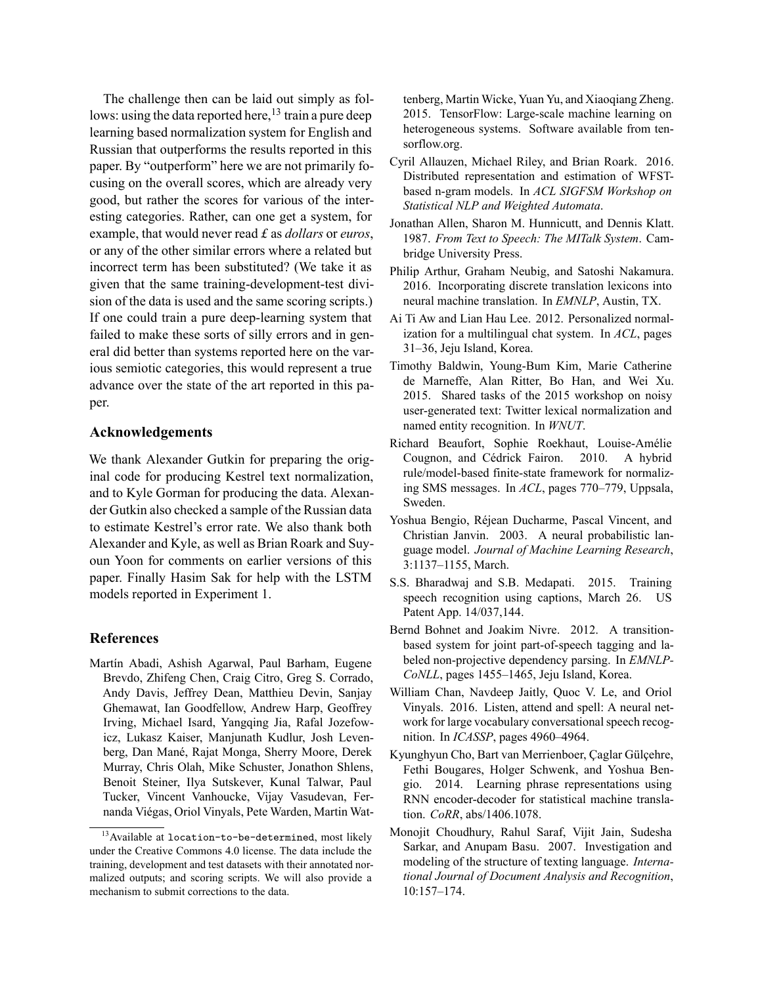The challenge then can be laid out simply as follows: using the data reported here,<sup>13</sup> train a pure deep learning based normalization system for English and Russian that outperforms the results reported in this paper. By "outperform" here we are not primarily focusing on the overall scores, which are already very good, but rather the scores for various of the interesting categories. Rather, can one get a system, for example, that would never read *£* as *dollars* or *euros*, or any of the other similar errors where a related but incorrect term has been substituted? (We take it as given that the same training-development-test division of the data is used and the same scoring scripts.) If one could train a pure deep-learning system that failed to make these sorts of silly errors and in general did better than systems reported here on the various semiotic categories, this would represent a true advance over the state of the art reported in this paper.

### **Acknowledgements**

We thank Alexander Gutkin for preparing the original code for producing Kestrel text normalization, and to Kyle Gorman for producing the data. Alexander Gutkin also checked a sample of the Russian data to estimate Kestrel's error rate. We also thank both Alexander and Kyle, as well as Brian Roark and Suyoun Yoon for comments on earlier versions of this paper. Finally Hasim Sak for help with the LSTM models reported in Experiment 1.

## **References**

Martín Abadi, Ashish Agarwal, Paul Barham, Eugene Brevdo, Zhifeng Chen, Craig Citro, Greg S. Corrado, Andy Davis, Jeffrey Dean, Matthieu Devin, Sanjay Ghemawat, Ian Goodfellow, Andrew Harp, Geoffrey Irving, Michael Isard, Yangqing Jia, Rafal Jozefowicz, Lukasz Kaiser, Manjunath Kudlur, Josh Levenberg, Dan Mané, Rajat Monga, Sherry Moore, Derek Murray, Chris Olah, Mike Schuster, Jonathon Shlens, Benoit Steiner, Ilya Sutskever, Kunal Talwar, Paul Tucker, Vincent Vanhoucke, Vijay Vasudevan, Fernanda Viégas, Oriol Vinyals, Pete Warden, Martin Wattenberg, Martin Wicke, Yuan Yu, and Xiaoqiang Zheng. 2015. TensorFlow: Large-scale machine learning on heterogeneous systems. Software available from tensorflow.org.

- Cyril Allauzen, Michael Riley, and Brian Roark. 2016. Distributed representation and estimation of WFSTbased n-gram models. In *ACL SIGFSM Workshop on Statistical NLP and Weighted Automata*.
- Jonathan Allen, Sharon M. Hunnicutt, and Dennis Klatt. 1987. *From Text to Speech: The MITalk System*. Cambridge University Press.
- Philip Arthur, Graham Neubig, and Satoshi Nakamura. 2016. Incorporating discrete translation lexicons into neural machine translation. In *EMNLP*, Austin, TX.
- Ai Ti Aw and Lian Hau Lee. 2012. Personalized normalization for a multilingual chat system. In *ACL*, pages 31–36, Jeju Island, Korea.
- Timothy Baldwin, Young-Bum Kim, Marie Catherine de Marneffe, Alan Ritter, Bo Han, and Wei Xu. 2015. Shared tasks of the 2015 workshop on noisy user-generated text: Twitter lexical normalization and named entity recognition. In *WNUT*.
- Richard Beaufort, Sophie Roekhaut, Louise-Amélie Cougnon, and Cédrick Fairon. 2010. A hybrid rule/model-based finite-state framework for normalizing SMS messages. In *ACL*, pages 770–779, Uppsala, Sweden.
- Yoshua Bengio, Réjean Ducharme, Pascal Vincent, and Christian Janvin. 2003. A neural probabilistic language model. *Journal of Machine Learning Research*, 3:1137–1155, March.
- S.S. Bharadwaj and S.B. Medapati. 2015. Training speech recognition using captions, March 26. US Patent App. 14/037,144.
- Bernd Bohnet and Joakim Nivre. 2012. A transitionbased system for joint part-of-speech tagging and labeled non-projective dependency parsing. In *EMNLP-CoNLL*, pages 1455–1465, Jeju Island, Korea.
- William Chan, Navdeep Jaitly, Quoc V. Le, and Oriol Vinyals. 2016. Listen, attend and spell: A neural network for large vocabulary conversational speech recognition. In *ICASSP*, pages 4960–4964.
- Kyunghyun Cho, Bart van Merrienboer, Çaglar Gülçehre, Fethi Bougares, Holger Schwenk, and Yoshua Bengio. 2014. Learning phrase representations using RNN encoder-decoder for statistical machine translation. *CoRR*, abs/1406.1078.
- Monojit Choudhury, Rahul Saraf, Vijit Jain, Sudesha Sarkar, and Anupam Basu. 2007. Investigation and modeling of the structure of texting language. *International Journal of Document Analysis and Recognition*, 10:157–174.

 $^{13}$ Available at location-to-be-determined, most likely under the Creative Commons 4.0 license. The data include the training, development and test datasets with their annotated normalized outputs; and scoring scripts. We will also provide a mechanism to submit corrections to the data.